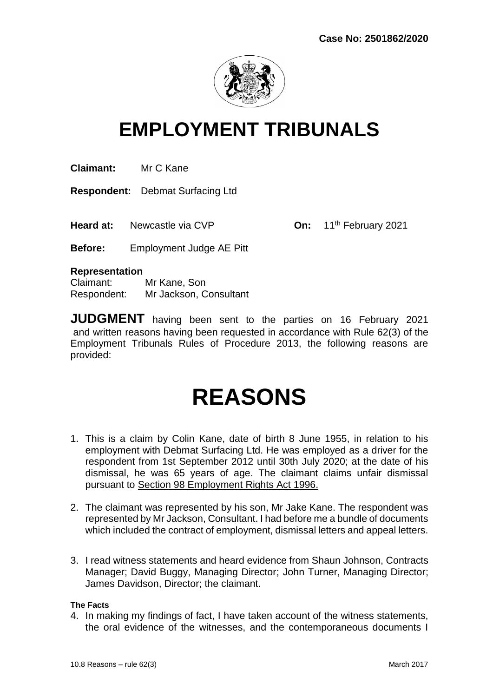

# **EMPLOYMENT TRIBUNALS**

**Claimant:** Mr C Kane

**Respondent:** Debmat Surfacing Ltd

**Heard at:** Newcastle via CVP **On:** 11<sup>th</sup> February 2021

**Before:** Employment Judge AE Pitt

#### **Representation**

Claimant: Mr Kane, Son Respondent: Mr Jackson, Consultant

**JUDGMENT** having been sent to the parties on 16 February 2021 and written reasons having been requested in accordance with Rule 62(3) of the Employment Tribunals Rules of Procedure 2013, the following reasons are provided:

# **REASONS**

- 1. This is a claim by Colin Kane, date of birth 8 June 1955, in relation to his employment with Debmat Surfacing Ltd. He was employed as a driver for the respondent from 1st September 2012 until 30th July 2020; at the date of his dismissal, he was 65 years of age. The claimant claims unfair dismissal pursuant to Section 98 Employment Rights Act 1996.
- 2. The claimant was represented by his son, Mr Jake Kane. The respondent was represented by Mr Jackson, Consultant. I had before me a bundle of documents which included the contract of employment, dismissal letters and appeal letters.
- 3. I read witness statements and heard evidence from Shaun Johnson, Contracts Manager; David Buggy, Managing Director; John Turner, Managing Director; James Davidson, Director; the claimant.

#### **The Facts**

4. In making my findings of fact, I have taken account of the witness statements, the oral evidence of the witnesses, and the contemporaneous documents I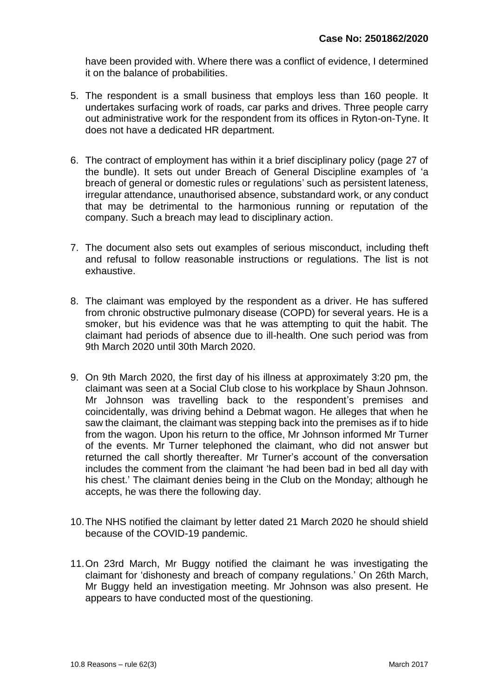have been provided with. Where there was a conflict of evidence, I determined it on the balance of probabilities.

- 5. The respondent is a small business that employs less than 160 people. It undertakes surfacing work of roads, car parks and drives. Three people carry out administrative work for the respondent from its offices in Ryton-on-Tyne. It does not have a dedicated HR department.
- 6. The contract of employment has within it a brief disciplinary policy (page 27 of the bundle). It sets out under Breach of General Discipline examples of 'a breach of general or domestic rules or regulations' such as persistent lateness, irregular attendance, unauthorised absence, substandard work, or any conduct that may be detrimental to the harmonious running or reputation of the company. Such a breach may lead to disciplinary action.
- 7. The document also sets out examples of serious misconduct, including theft and refusal to follow reasonable instructions or regulations. The list is not exhaustive.
- 8. The claimant was employed by the respondent as a driver. He has suffered from chronic obstructive pulmonary disease (COPD) for several years. He is a smoker, but his evidence was that he was attempting to quit the habit. The claimant had periods of absence due to ill-health. One such period was from 9th March 2020 until 30th March 2020.
- 9. On 9th March 2020, the first day of his illness at approximately 3:20 pm, the claimant was seen at a Social Club close to his workplace by Shaun Johnson. Mr Johnson was travelling back to the respondent's premises and coincidentally, was driving behind a Debmat wagon. He alleges that when he saw the claimant, the claimant was stepping back into the premises as if to hide from the wagon. Upon his return to the office, Mr Johnson informed Mr Turner of the events. Mr Turner telephoned the claimant, who did not answer but returned the call shortly thereafter. Mr Turner's account of the conversation includes the comment from the claimant 'he had been bad in bed all day with his chest.' The claimant denies being in the Club on the Monday; although he accepts, he was there the following day.
- 10.The NHS notified the claimant by letter dated 21 March 2020 he should shield because of the COVID-19 pandemic.
- 11.On 23rd March, Mr Buggy notified the claimant he was investigating the claimant for 'dishonesty and breach of company regulations.' On 26th March, Mr Buggy held an investigation meeting. Mr Johnson was also present. He appears to have conducted most of the questioning.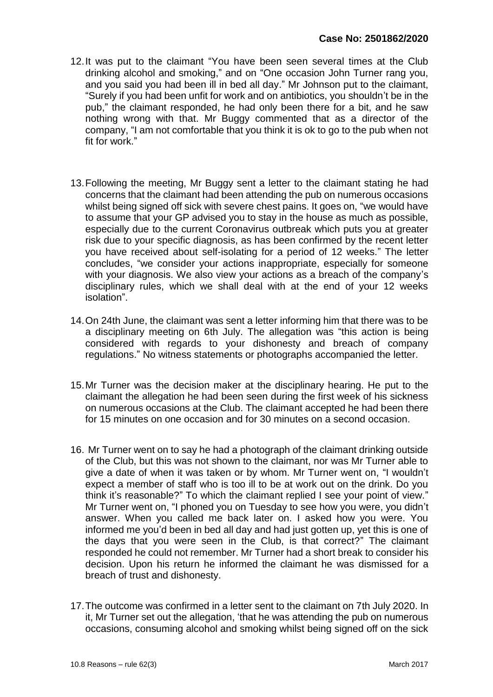- 12.It was put to the claimant "You have been seen several times at the Club drinking alcohol and smoking," and on "One occasion John Turner rang you, and you said you had been ill in bed all day." Mr Johnson put to the claimant, "Surely if you had been unfit for work and on antibiotics, you shouldn't be in the pub," the claimant responded, he had only been there for a bit, and he saw nothing wrong with that. Mr Buggy commented that as a director of the company, "I am not comfortable that you think it is ok to go to the pub when not fit for work."
- 13.Following the meeting, Mr Buggy sent a letter to the claimant stating he had concerns that the claimant had been attending the pub on numerous occasions whilst being signed off sick with severe chest pains. It goes on, "we would have to assume that your GP advised you to stay in the house as much as possible, especially due to the current Coronavirus outbreak which puts you at greater risk due to your specific diagnosis, as has been confirmed by the recent letter you have received about self-isolating for a period of 12 weeks." The letter concludes, "we consider your actions inappropriate, especially for someone with your diagnosis. We also view your actions as a breach of the company's disciplinary rules, which we shall deal with at the end of your 12 weeks isolation".
- 14.On 24th June, the claimant was sent a letter informing him that there was to be a disciplinary meeting on 6th July. The allegation was "this action is being considered with regards to your dishonesty and breach of company regulations." No witness statements or photographs accompanied the letter.
- 15.Mr Turner was the decision maker at the disciplinary hearing. He put to the claimant the allegation he had been seen during the first week of his sickness on numerous occasions at the Club. The claimant accepted he had been there for 15 minutes on one occasion and for 30 minutes on a second occasion.
- 16. Mr Turner went on to say he had a photograph of the claimant drinking outside of the Club, but this was not shown to the claimant, nor was Mr Turner able to give a date of when it was taken or by whom. Mr Turner went on, "I wouldn't expect a member of staff who is too ill to be at work out on the drink. Do you think it's reasonable?" To which the claimant replied I see your point of view." Mr Turner went on, "I phoned you on Tuesday to see how you were, you didn't answer. When you called me back later on. I asked how you were. You informed me you'd been in bed all day and had just gotten up, yet this is one of the days that you were seen in the Club, is that correct?" The claimant responded he could not remember. Mr Turner had a short break to consider his decision. Upon his return he informed the claimant he was dismissed for a breach of trust and dishonesty.
- 17.The outcome was confirmed in a letter sent to the claimant on 7th July 2020. In it, Mr Turner set out the allegation, 'that he was attending the pub on numerous occasions, consuming alcohol and smoking whilst being signed off on the sick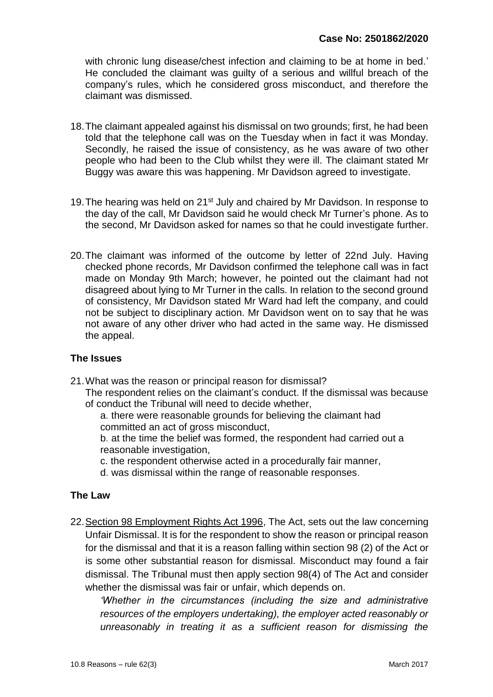with chronic lung disease/chest infection and claiming to be at home in bed.' He concluded the claimant was guilty of a serious and willful breach of the company's rules, which he considered gross misconduct, and therefore the claimant was dismissed.

- 18.The claimant appealed against his dismissal on two grounds; first, he had been told that the telephone call was on the Tuesday when in fact it was Monday. Secondly, he raised the issue of consistency, as he was aware of two other people who had been to the Club whilst they were ill. The claimant stated Mr Buggy was aware this was happening. Mr Davidson agreed to investigate.
- 19. The hearing was held on 21<sup>st</sup> July and chaired by Mr Davidson. In response to the day of the call, Mr Davidson said he would check Mr Turner's phone. As to the second, Mr Davidson asked for names so that he could investigate further.
- 20.The claimant was informed of the outcome by letter of 22nd July. Having checked phone records, Mr Davidson confirmed the telephone call was in fact made on Monday 9th March; however, he pointed out the claimant had not disagreed about lying to Mr Turner in the calls. In relation to the second ground of consistency, Mr Davidson stated Mr Ward had left the company, and could not be subject to disciplinary action. Mr Davidson went on to say that he was not aware of any other driver who had acted in the same way. He dismissed the appeal.

#### **The Issues**

21.What was the reason or principal reason for dismissal? The respondent relies on the claimant's conduct. If the dismissal was because of conduct the Tribunal will need to decide whether,

a. there were reasonable grounds for believing the claimant had committed an act of gross misconduct,

b. at the time the belief was formed, the respondent had carried out a reasonable investigation,

c. the respondent otherwise acted in a procedurally fair manner,

d. was dismissal within the range of reasonable responses.

#### **The Law**

22.Section 98 Employment Rights Act 1996, The Act, sets out the law concerning Unfair Dismissal. It is for the respondent to show the reason or principal reason for the dismissal and that it is a reason falling within section 98 (2) of the Act or is some other substantial reason for dismissal. Misconduct may found a fair dismissal. The Tribunal must then apply section 98(4) of The Act and consider whether the dismissal was fair or unfair, which depends on.

*'Whether in the circumstances (including the size and administrative resources of the employers undertaking), the employer acted reasonably or unreasonably in treating it as a sufficient reason for dismissing the*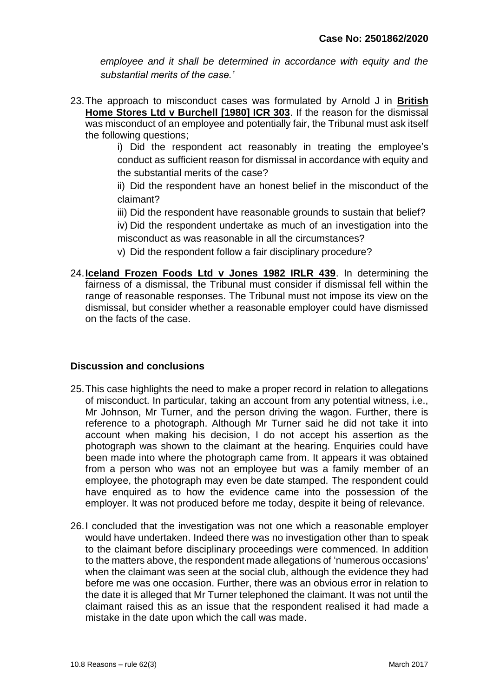*employee and it shall be determined in accordance with equity and the substantial merits of the case.'*

23.The approach to misconduct cases was formulated by Arnold J in **British Home Stores Ltd v Burchell [1980] ICR 303**. If the reason for the dismissal was misconduct of an employee and potentially fair, the Tribunal must ask itself the following questions;

> i) Did the respondent act reasonably in treating the employee's conduct as sufficient reason for dismissal in accordance with equity and the substantial merits of the case?

> ii) Did the respondent have an honest belief in the misconduct of the claimant?

> iii) Did the respondent have reasonable grounds to sustain that belief?

iv) Did the respondent undertake as much of an investigation into the misconduct as was reasonable in all the circumstances?

v) Did the respondent follow a fair disciplinary procedure?

24.**Iceland Frozen Foods Ltd v Jones 1982 IRLR 439**. In determining the fairness of a dismissal, the Tribunal must consider if dismissal fell within the range of reasonable responses. The Tribunal must not impose its view on the dismissal, but consider whether a reasonable employer could have dismissed on the facts of the case.

#### **Discussion and conclusions**

- 25.This case highlights the need to make a proper record in relation to allegations of misconduct. In particular, taking an account from any potential witness, i.e., Mr Johnson, Mr Turner, and the person driving the wagon. Further, there is reference to a photograph. Although Mr Turner said he did not take it into account when making his decision, I do not accept his assertion as the photograph was shown to the claimant at the hearing. Enquiries could have been made into where the photograph came from. It appears it was obtained from a person who was not an employee but was a family member of an employee, the photograph may even be date stamped. The respondent could have enquired as to how the evidence came into the possession of the employer. It was not produced before me today, despite it being of relevance.
- 26.I concluded that the investigation was not one which a reasonable employer would have undertaken. Indeed there was no investigation other than to speak to the claimant before disciplinary proceedings were commenced. In addition to the matters above, the respondent made allegations of 'numerous occasions' when the claimant was seen at the social club, although the evidence they had before me was one occasion. Further, there was an obvious error in relation to the date it is alleged that Mr Turner telephoned the claimant. It was not until the claimant raised this as an issue that the respondent realised it had made a mistake in the date upon which the call was made.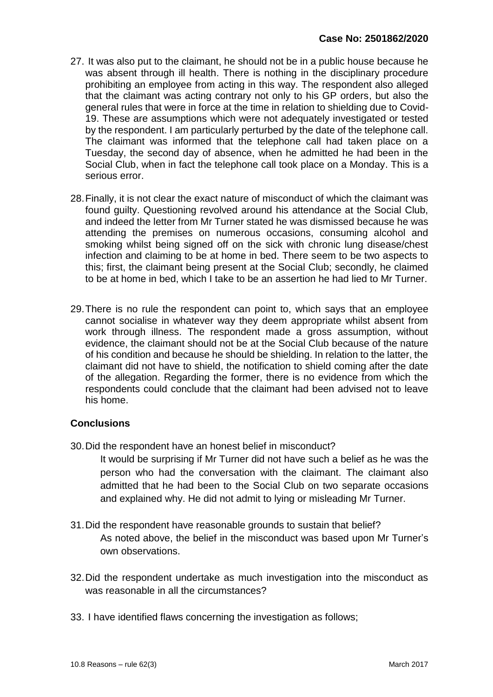- 27. It was also put to the claimant, he should not be in a public house because he was absent through ill health. There is nothing in the disciplinary procedure prohibiting an employee from acting in this way. The respondent also alleged that the claimant was acting contrary not only to his GP orders, but also the general rules that were in force at the time in relation to shielding due to Covid-19. These are assumptions which were not adequately investigated or tested by the respondent. I am particularly perturbed by the date of the telephone call. The claimant was informed that the telephone call had taken place on a Tuesday, the second day of absence, when he admitted he had been in the Social Club, when in fact the telephone call took place on a Monday. This is a serious error.
- 28.Finally, it is not clear the exact nature of misconduct of which the claimant was found guilty. Questioning revolved around his attendance at the Social Club, and indeed the letter from Mr Turner stated he was dismissed because he was attending the premises on numerous occasions, consuming alcohol and smoking whilst being signed off on the sick with chronic lung disease/chest infection and claiming to be at home in bed. There seem to be two aspects to this; first, the claimant being present at the Social Club; secondly, he claimed to be at home in bed, which I take to be an assertion he had lied to Mr Turner.
- 29.There is no rule the respondent can point to, which says that an employee cannot socialise in whatever way they deem appropriate whilst absent from work through illness. The respondent made a gross assumption, without evidence, the claimant should not be at the Social Club because of the nature of his condition and because he should be shielding. In relation to the latter, the claimant did not have to shield, the notification to shield coming after the date of the allegation. Regarding the former, there is no evidence from which the respondents could conclude that the claimant had been advised not to leave his home.

#### **Conclusions**

- 30.Did the respondent have an honest belief in misconduct?
	- It would be surprising if Mr Turner did not have such a belief as he was the person who had the conversation with the claimant. The claimant also admitted that he had been to the Social Club on two separate occasions and explained why. He did not admit to lying or misleading Mr Turner.
- 31.Did the respondent have reasonable grounds to sustain that belief? As noted above, the belief in the misconduct was based upon Mr Turner's own observations.
- 32.Did the respondent undertake as much investigation into the misconduct as was reasonable in all the circumstances?
- 33. I have identified flaws concerning the investigation as follows;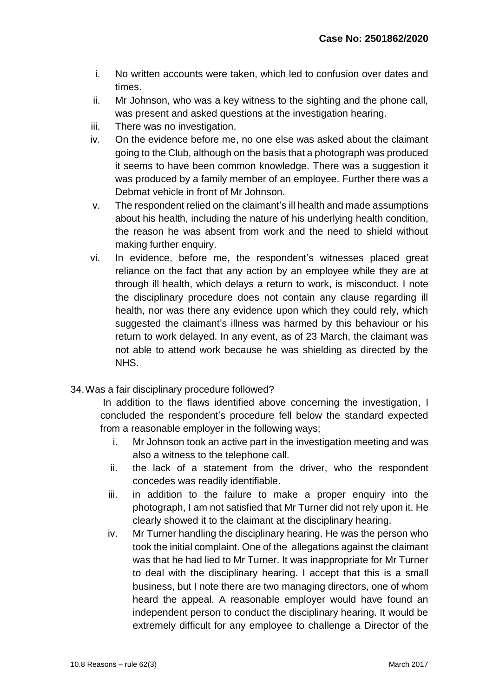- i. No written accounts were taken, which led to confusion over dates and times.
- ii. Mr Johnson, who was a key witness to the sighting and the phone call, was present and asked questions at the investigation hearing.
- iii. There was no investigation.
- iv. On the evidence before me, no one else was asked about the claimant going to the Club, although on the basis that a photograph was produced it seems to have been common knowledge. There was a suggestion it was produced by a family member of an employee. Further there was a Debmat vehicle in front of Mr Johnson.
- v. The respondent relied on the claimant's ill health and made assumptions about his health, including the nature of his underlying health condition, the reason he was absent from work and the need to shield without making further enquiry.
- vi. In evidence, before me, the respondent's witnesses placed great reliance on the fact that any action by an employee while they are at through ill health, which delays a return to work, is misconduct. I note the disciplinary procedure does not contain any clause regarding ill health, nor was there any evidence upon which they could rely, which suggested the claimant's illness was harmed by this behaviour or his return to work delayed. In any event, as of 23 March, the claimant was not able to attend work because he was shielding as directed by the NHS.
- 34.Was a fair disciplinary procedure followed?

In addition to the flaws identified above concerning the investigation, I concluded the respondent's procedure fell below the standard expected from a reasonable employer in the following ways;

- i. Mr Johnson took an active part in the investigation meeting and was also a witness to the telephone call.
- ii. the lack of a statement from the driver, who the respondent concedes was readily identifiable.
- iii. in addition to the failure to make a proper enquiry into the photograph, I am not satisfied that Mr Turner did not rely upon it. He clearly showed it to the claimant at the disciplinary hearing.
- iv. Mr Turner handling the disciplinary hearing. He was the person who took the initial complaint. One of the allegations against the claimant was that he had lied to Mr Turner. It was inappropriate for Mr Turner to deal with the disciplinary hearing. I accept that this is a small business, but I note there are two managing directors, one of whom heard the appeal. A reasonable employer would have found an independent person to conduct the disciplinary hearing. It would be extremely difficult for any employee to challenge a Director of the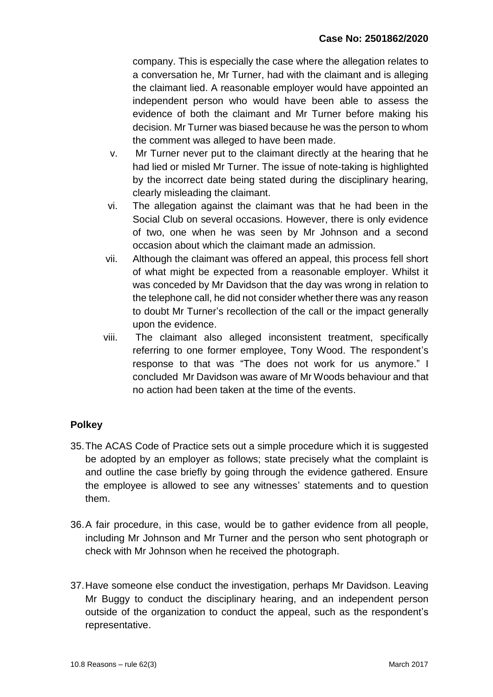company. This is especially the case where the allegation relates to a conversation he, Mr Turner, had with the claimant and is alleging the claimant lied. A reasonable employer would have appointed an independent person who would have been able to assess the evidence of both the claimant and Mr Turner before making his decision. Mr Turner was biased because he was the person to whom the comment was alleged to have been made.

- v. Mr Turner never put to the claimant directly at the hearing that he had lied or misled Mr Turner. The issue of note-taking is highlighted by the incorrect date being stated during the disciplinary hearing, clearly misleading the claimant.
- vi. The allegation against the claimant was that he had been in the Social Club on several occasions. However, there is only evidence of two, one when he was seen by Mr Johnson and a second occasion about which the claimant made an admission.
- vii. Although the claimant was offered an appeal, this process fell short of what might be expected from a reasonable employer. Whilst it was conceded by Mr Davidson that the day was wrong in relation to the telephone call, he did not consider whether there was any reason to doubt Mr Turner's recollection of the call or the impact generally upon the evidence.
- viii. The claimant also alleged inconsistent treatment, specifically referring to one former employee, Tony Wood. The respondent's response to that was "The does not work for us anymore." I concluded Mr Davidson was aware of Mr Woods behaviour and that no action had been taken at the time of the events.

## **Polkey**

- 35.The ACAS Code of Practice sets out a simple procedure which it is suggested be adopted by an employer as follows; state precisely what the complaint is and outline the case briefly by going through the evidence gathered. Ensure the employee is allowed to see any witnesses' statements and to question them.
- 36.A fair procedure, in this case, would be to gather evidence from all people, including Mr Johnson and Mr Turner and the person who sent photograph or check with Mr Johnson when he received the photograph.
- 37.Have someone else conduct the investigation, perhaps Mr Davidson. Leaving Mr Buggy to conduct the disciplinary hearing, and an independent person outside of the organization to conduct the appeal, such as the respondent's representative.